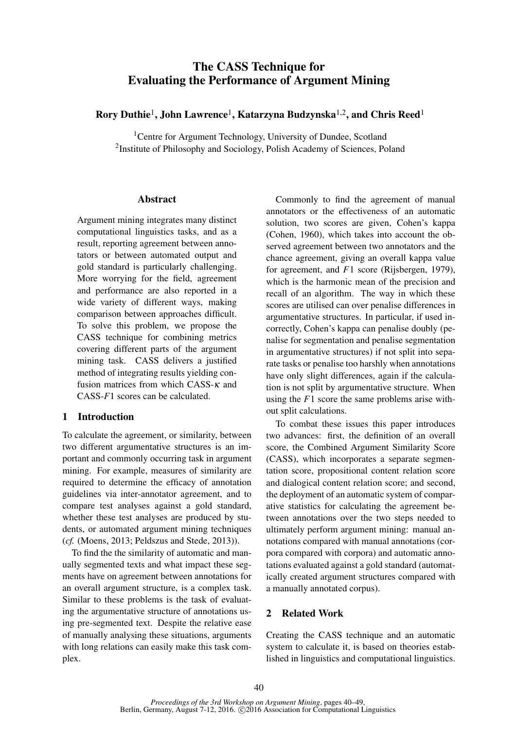# The CASS Technique for Evaluating the Performance of Argument Mining

Rory Duthie<sup>1</sup>, John Lawrence<sup>1</sup>, Katarzyna Budzynska<sup>1,2</sup>, and Chris Reed<sup>1</sup>

<sup>1</sup> Centre for Argument Technology, University of Dundee, Scotland <sup>2</sup>Institute of Philosophy and Sociology, Polish Academy of Sciences, Poland

#### Abstract

Argument mining integrates many distinct computational linguistics tasks, and as a result, reporting agreement between annotators or between automated output and gold standard is particularly challenging. More worrying for the field, agreement and performance are also reported in a wide variety of different ways, making comparison between approaches difficult. To solve this problem, we propose the CASS technique for combining metrics covering different parts of the argument mining task. CASS delivers a justified method of integrating results yielding confusion matrices from which CASS-κ and CASS-*F*1 scores can be calculated.

### 1 Introduction

To calculate the agreement, or similarity, between two different argumentative structures is an important and commonly occurring task in argument mining. For example, measures of similarity are required to determine the efficacy of annotation guidelines via inter-annotator agreement, and to compare test analyses against a gold standard, whether these test analyses are produced by students, or automated argument mining techniques (*cf.* (Moens, 2013; Peldszus and Stede, 2013)).

To find the the similarity of automatic and manually segmented texts and what impact these segments have on agreement between annotations for an overall argument structure, is a complex task. Similar to these problems is the task of evaluating the argumentative structure of annotations using pre-segmented text. Despite the relative ease of manually analysing these situations, arguments with long relations can easily make this task complex.

Commonly to find the agreement of manual annotators or the effectiveness of an automatic solution, two scores are given, Cohen's kappa (Cohen, 1960), which takes into account the observed agreement between two annotators and the chance agreement, giving an overall kappa value for agreement, and *F*1 score (Rijsbergen, 1979), which is the harmonic mean of the precision and recall of an algorithm. The way in which these scores are utilised can over penalise differences in argumentative structures. In particular, if used incorrectly, Cohen's kappa can penalise doubly (penalise for segmentation and penalise segmentation in argumentative structures) if not split into separate tasks or penalise too harshly when annotations have only slight differences, again if the calculation is not split by argumentative structure. When using the *F*1 score the same problems arise without split calculations.

To combat these issues this paper introduces two advances: first, the definition of an overall score, the Combined Argument Similarity Score (CASS), which incorporates a separate segmentation score, propositional content relation score and dialogical content relation score; and second, the deployment of an automatic system of comparative statistics for calculating the agreement between annotations over the two steps needed to ultimately perform argument mining: manual annotations compared with manual annotations (corpora compared with corpora) and automatic annotations evaluated against a gold standard (automatically created argument structures compared with a manually annotated corpus).

#### 2 Related Work

Creating the CASS technique and an automatic system to calculate it, is based on theories established in linguistics and computational linguistics.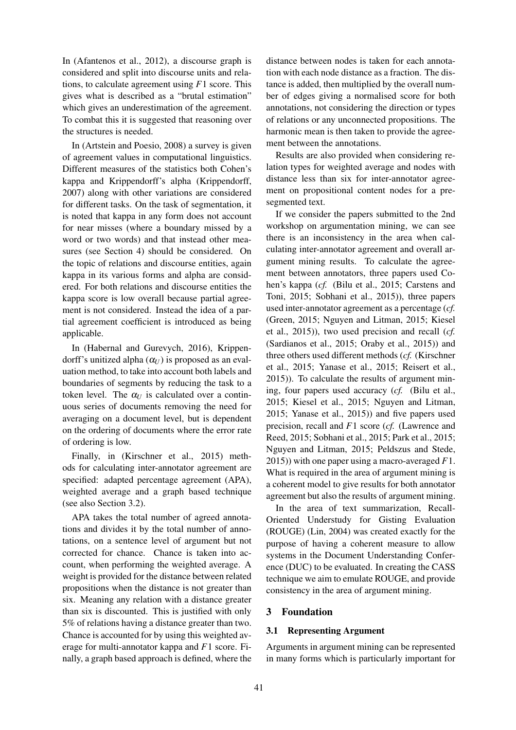In (Afantenos et al., 2012), a discourse graph is considered and split into discourse units and relations, to calculate agreement using *F*1 score. This gives what is described as a "brutal estimation" which gives an underestimation of the agreement. To combat this it is suggested that reasoning over the structures is needed.

In (Artstein and Poesio, 2008) a survey is given of agreement values in computational linguistics. Different measures of the statistics both Cohen's kappa and Krippendorff's alpha (Krippendorff, 2007) along with other variations are considered for different tasks. On the task of segmentation, it is noted that kappa in any form does not account for near misses (where a boundary missed by a word or two words) and that instead other measures (see Section 4) should be considered. On the topic of relations and discourse entities, again kappa in its various forms and alpha are considered. For both relations and discourse entities the kappa score is low overall because partial agreement is not considered. Instead the idea of a partial agreement coefficient is introduced as being applicable.

In (Habernal and Gurevych, 2016), Krippendorff's unitized alpha  $(\alpha_U)$  is proposed as an evaluation method, to take into account both labels and boundaries of segments by reducing the task to a token level. The  $\alpha_U$  is calculated over a continuous series of documents removing the need for averaging on a document level, but is dependent on the ordering of documents where the error rate of ordering is low.

Finally, in (Kirschner et al., 2015) methods for calculating inter-annotator agreement are specified: adapted percentage agreement (APA), weighted average and a graph based technique (see also Section 3.2).

APA takes the total number of agreed annotations and divides it by the total number of annotations, on a sentence level of argument but not corrected for chance. Chance is taken into account, when performing the weighted average. A weight is provided for the distance between related propositions when the distance is not greater than six. Meaning any relation with a distance greater than six is discounted. This is justified with only 5% of relations having a distance greater than two. Chance is accounted for by using this weighted average for multi-annotator kappa and *F*1 score. Finally, a graph based approach is defined, where the

distance between nodes is taken for each annotation with each node distance as a fraction. The distance is added, then multiplied by the overall number of edges giving a normalised score for both annotations, not considering the direction or types of relations or any unconnected propositions. The harmonic mean is then taken to provide the agreement between the annotations.

Results are also provided when considering relation types for weighted average and nodes with distance less than six for inter-annotator agreement on propositional content nodes for a presegmented text.

If we consider the papers submitted to the 2nd workshop on argumentation mining, we can see there is an inconsistency in the area when calculating inter-annotator agreement and overall argument mining results. To calculate the agreement between annotators, three papers used Cohen's kappa (*cf.* (Bilu et al., 2015; Carstens and Toni, 2015; Sobhani et al., 2015)), three papers used inter-annotator agreement as a percentage (*cf.* (Green, 2015; Nguyen and Litman, 2015; Kiesel et al., 2015)), two used precision and recall (*cf.* (Sardianos et al., 2015; Oraby et al., 2015)) and three others used different methods (*cf.* (Kirschner et al., 2015; Yanase et al., 2015; Reisert et al., 2015)). To calculate the results of argument mining, four papers used accuracy (*cf.* (Bilu et al., 2015; Kiesel et al., 2015; Nguyen and Litman, 2015; Yanase et al., 2015)) and five papers used precision, recall and *F*1 score (*cf.* (Lawrence and Reed, 2015; Sobhani et al., 2015; Park et al., 2015; Nguyen and Litman, 2015; Peldszus and Stede, 2015)) with one paper using a macro-averaged *F*1. What is required in the area of argument mining is a coherent model to give results for both annotator agreement but also the results of argument mining.

In the area of text summarization, Recall-Oriented Understudy for Gisting Evaluation (ROUGE) (Lin, 2004) was created exactly for the purpose of having a coherent measure to allow systems in the Document Understanding Conference (DUC) to be evaluated. In creating the CASS technique we aim to emulate ROUGE, and provide consistency in the area of argument mining.

# 3 Foundation

# 3.1 Representing Argument

Arguments in argument mining can be represented in many forms which is particularly important for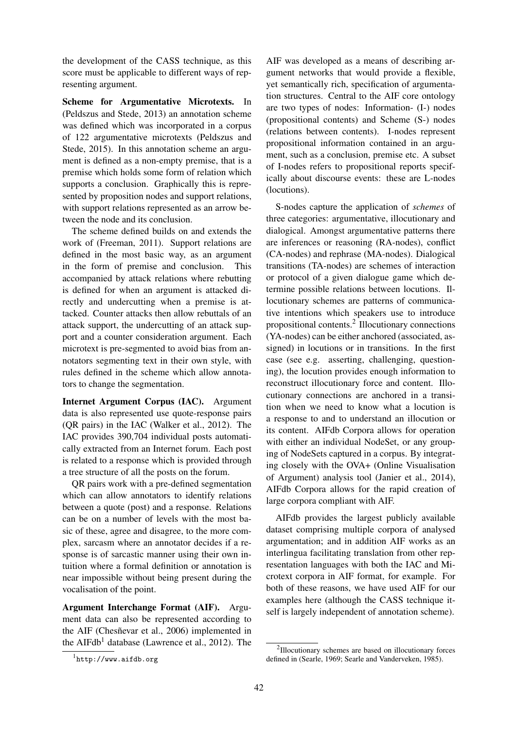the development of the CASS technique, as this score must be applicable to different ways of representing argument.

Scheme for Argumentative Microtexts. In (Peldszus and Stede, 2013) an annotation scheme was defined which was incorporated in a corpus of 122 argumentative microtexts (Peldszus and Stede, 2015). In this annotation scheme an argument is defined as a non-empty premise, that is a premise which holds some form of relation which supports a conclusion. Graphically this is represented by proposition nodes and support relations, with support relations represented as an arrow between the node and its conclusion.

The scheme defined builds on and extends the work of (Freeman, 2011). Support relations are defined in the most basic way, as an argument in the form of premise and conclusion. This accompanied by attack relations where rebutting is defined for when an argument is attacked directly and undercutting when a premise is attacked. Counter attacks then allow rebuttals of an attack support, the undercutting of an attack support and a counter consideration argument. Each microtext is pre-segmented to avoid bias from annotators segmenting text in their own style, with rules defined in the scheme which allow annotators to change the segmentation.

Internet Argument Corpus (IAC). Argument data is also represented use quote-response pairs (QR pairs) in the IAC (Walker et al., 2012). The IAC provides 390,704 individual posts automatically extracted from an Internet forum. Each post is related to a response which is provided through a tree structure of all the posts on the forum.

QR pairs work with a pre-defined segmentation which can allow annotators to identify relations between a quote (post) and a response. Relations can be on a number of levels with the most basic of these, agree and disagree, to the more complex, sarcasm where an annotator decides if a response is of sarcastic manner using their own intuition where a formal definition or annotation is near impossible without being present during the vocalisation of the point.

Argument Interchange Format (AIF). Argument data can also be represented according to the AIF (Chesñevar et al., 2006) implemented in the AIFdb<sup>1</sup> database (Lawrence et al., 2012). The

AIF was developed as a means of describing argument networks that would provide a flexible, yet semantically rich, specification of argumentation structures. Central to the AIF core ontology are two types of nodes: Information- (I-) nodes (propositional contents) and Scheme (S-) nodes (relations between contents). I-nodes represent propositional information contained in an argument, such as a conclusion, premise etc. A subset of I-nodes refers to propositional reports specifically about discourse events: these are L-nodes (locutions).

S-nodes capture the application of *schemes* of three categories: argumentative, illocutionary and dialogical. Amongst argumentative patterns there are inferences or reasoning (RA-nodes), conflict (CA-nodes) and rephrase (MA-nodes). Dialogical transitions (TA-nodes) are schemes of interaction or protocol of a given dialogue game which determine possible relations between locutions. Illocutionary schemes are patterns of communicative intentions which speakers use to introduce propositional contents.<sup>2</sup> Illocutionary connections (YA-nodes) can be either anchored (associated, assigned) in locutions or in transitions. In the first case (see e.g. asserting, challenging, questioning), the locution provides enough information to reconstruct illocutionary force and content. Illocutionary connections are anchored in a transition when we need to know what a locution is a response to and to understand an illocution or its content. AIFdb Corpora allows for operation with either an individual NodeSet, or any grouping of NodeSets captured in a corpus. By integrating closely with the OVA+ (Online Visualisation of Argument) analysis tool (Janier et al., 2014), AIFdb Corpora allows for the rapid creation of large corpora compliant with AIF.

AIFdb provides the largest publicly available dataset comprising multiple corpora of analysed argumentation; and in addition AIF works as an interlingua facilitating translation from other representation languages with both the IAC and Microtext corpora in AIF format, for example. For both of these reasons, we have used AIF for our examples here (although the CASS technique itself is largely independent of annotation scheme).

<sup>1</sup> http://www.aifdb.org

<sup>&</sup>lt;sup>2</sup>Illocutionary schemes are based on illocutionary forces defined in (Searle, 1969; Searle and Vanderveken, 1985).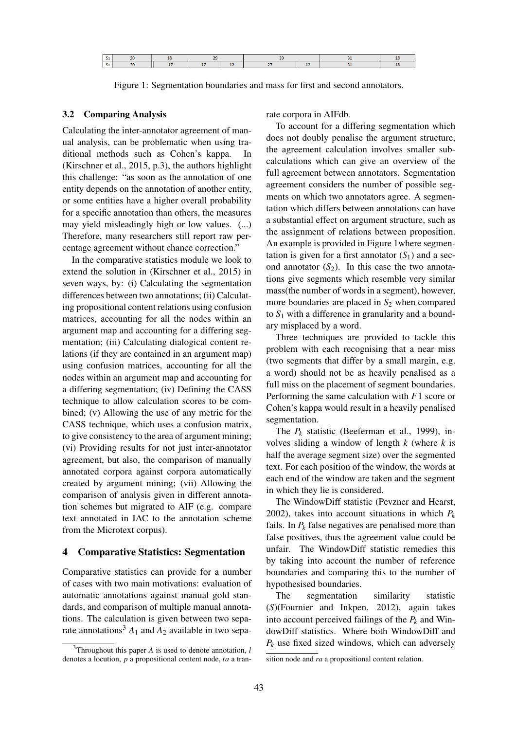

Figure 1: Segmentation boundaries and mass for first and second annotators.

#### 3.2 Comparing Analysis

Calculating the inter-annotator agreement of manual analysis, can be problematic when using traditional methods such as Cohen's kappa. In (Kirschner et al., 2015, p.3), the authors highlight this challenge: "as soon as the annotation of one entity depends on the annotation of another entity, or some entities have a higher overall probability for a specific annotation than others, the measures may yield misleadingly high or low values. (...) Therefore, many researchers still report raw percentage agreement without chance correction."

In the comparative statistics module we look to extend the solution in (Kirschner et al., 2015) in seven ways, by: (i) Calculating the segmentation differences between two annotations; (ii) Calculating propositional content relations using confusion matrices, accounting for all the nodes within an argument map and accounting for a differing segmentation; (iii) Calculating dialogical content relations (if they are contained in an argument map) using confusion matrices, accounting for all the nodes within an argument map and accounting for a differing segmentation; (iv) Defining the CASS technique to allow calculation scores to be combined; (v) Allowing the use of any metric for the CASS technique, which uses a confusion matrix, to give consistency to the area of argument mining; (vi) Providing results for not just inter-annotator agreement, but also, the comparison of manually annotated corpora against corpora automatically created by argument mining; (vii) Allowing the comparison of analysis given in different annotation schemes but migrated to AIF (e.g. compare text annotated in IAC to the annotation scheme from the Microtext corpus).

#### 4 Comparative Statistics: Segmentation

Comparative statistics can provide for a number of cases with two main motivations: evaluation of automatic annotations against manual gold standards, and comparison of multiple manual annotations. The calculation is given between two separate annotations<sup>3</sup>  $A_1$  and  $A_2$  available in two separate corpora in AIFdb.

To account for a differing segmentation which does not doubly penalise the argument structure, the agreement calculation involves smaller subcalculations which can give an overview of the full agreement between annotators. Segmentation agreement considers the number of possible segments on which two annotators agree. A segmentation which differs between annotations can have a substantial effect on argument structure, such as the assignment of relations between proposition. An example is provided in Figure 1where segmentation is given for a first annotator  $(S_1)$  and a second annotator  $(S_2)$ . In this case the two annotations give segments which resemble very similar mass(the number of words in a segment), however, more boundaries are placed in  $S_2$  when compared to  $S_1$  with a difference in granularity and a boundary misplaced by a word.

Three techniques are provided to tackle this problem with each recognising that a near miss (two segments that differ by a small margin, e.g. a word) should not be as heavily penalised as a full miss on the placement of segment boundaries. Performing the same calculation with *F*1 score or Cohen's kappa would result in a heavily penalised segmentation.

The  $P_k$  statistic (Beeferman et al., 1999), involves sliding a window of length *k* (where *k* is half the average segment size) over the segmented text. For each position of the window, the words at each end of the window are taken and the segment in which they lie is considered.

The WindowDiff statistic (Pevzner and Hearst, 2002), takes into account situations in which *P<sup>k</sup>* fails. In  $P_k$  false negatives are penalised more than false positives, thus the agreement value could be unfair. The WindowDiff statistic remedies this by taking into account the number of reference boundaries and comparing this to the number of hypothesised boundaries.

The segmentation similarity statistic (*S*)(Fournier and Inkpen, 2012), again takes into account perceived failings of the  $P_k$  and WindowDiff statistics. Where both WindowDiff and  $P_k$  use fixed sized windows, which can adversely

<sup>3</sup>Throughout this paper *A* is used to denote annotation, *l* denotes a locution, *p* a propositional content node, *ta* a tran-

sition node and *ra* a propositional content relation.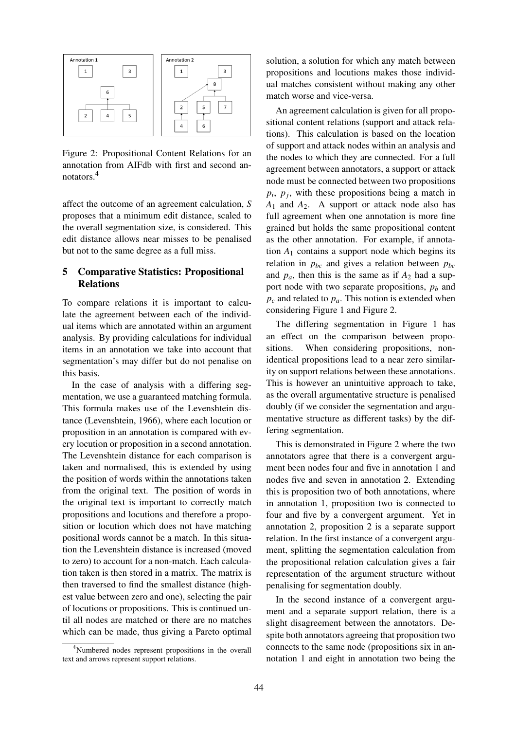

Figure 2: Propositional Content Relations for an annotation from AIFdb with first and second annotators.<sup>4</sup>

affect the outcome of an agreement calculation, *S* proposes that a minimum edit distance, scaled to the overall segmentation size, is considered. This edit distance allows near misses to be penalised but not to the same degree as a full miss.

# 5 Comparative Statistics: Propositional Relations

To compare relations it is important to calculate the agreement between each of the individual items which are annotated within an argument analysis. By providing calculations for individual items in an annotation we take into account that segmentation's may differ but do not penalise on this basis.

In the case of analysis with a differing segmentation, we use a guaranteed matching formula. This formula makes use of the Levenshtein distance (Levenshtein, 1966), where each locution or proposition in an annotation is compared with every locution or proposition in a second annotation. The Levenshtein distance for each comparison is taken and normalised, this is extended by using the position of words within the annotations taken from the original text. The position of words in the original text is important to correctly match propositions and locutions and therefore a proposition or locution which does not have matching positional words cannot be a match. In this situation the Levenshtein distance is increased (moved to zero) to account for a non-match. Each calculation taken is then stored in a matrix. The matrix is then traversed to find the smallest distance (highest value between zero and one), selecting the pair of locutions or propositions. This is continued until all nodes are matched or there are no matches which can be made, thus giving a Pareto optimal

<sup>4</sup>Numbered nodes represent propositions in the overall text and arrows represent support relations.

solution, a solution for which any match between propositions and locutions makes those individual matches consistent without making any other match worse and vice-versa.

An agreement calculation is given for all propositional content relations (support and attack relations). This calculation is based on the location of support and attack nodes within an analysis and the nodes to which they are connected. For a full agreement between annotators, a support or attack node must be connected between two propositions  $p_i$ ,  $p_j$ , with these propositions being a match in *A*<sup>1</sup> and *A*2. A support or attack node also has full agreement when one annotation is more fine grained but holds the same propositional content as the other annotation. For example, if annotation  $A_1$  contains a support node which begins its relation in  $p_{bc}$  and gives a relation between  $p_{bc}$ and  $p_a$ , then this is the same as if  $A_2$  had a support node with two separate propositions, *p<sup>b</sup>* and  $p_c$  and related to  $p_a$ . This notion is extended when considering Figure 1 and Figure 2.

The differing segmentation in Figure 1 has an effect on the comparison between propositions. When considering propositions, nonidentical propositions lead to a near zero similarity on support relations between these annotations. This is however an unintuitive approach to take, as the overall argumentative structure is penalised doubly (if we consider the segmentation and argumentative structure as different tasks) by the differing segmentation.

This is demonstrated in Figure 2 where the two annotators agree that there is a convergent argument been nodes four and five in annotation 1 and nodes five and seven in annotation 2. Extending this is proposition two of both annotations, where in annotation 1, proposition two is connected to four and five by a convergent argument. Yet in annotation 2, proposition 2 is a separate support relation. In the first instance of a convergent argument, splitting the segmentation calculation from the propositional relation calculation gives a fair representation of the argument structure without penalising for segmentation doubly.

In the second instance of a convergent argument and a separate support relation, there is a slight disagreement between the annotators. Despite both annotators agreeing that proposition two connects to the same node (propositions six in annotation 1 and eight in annotation two being the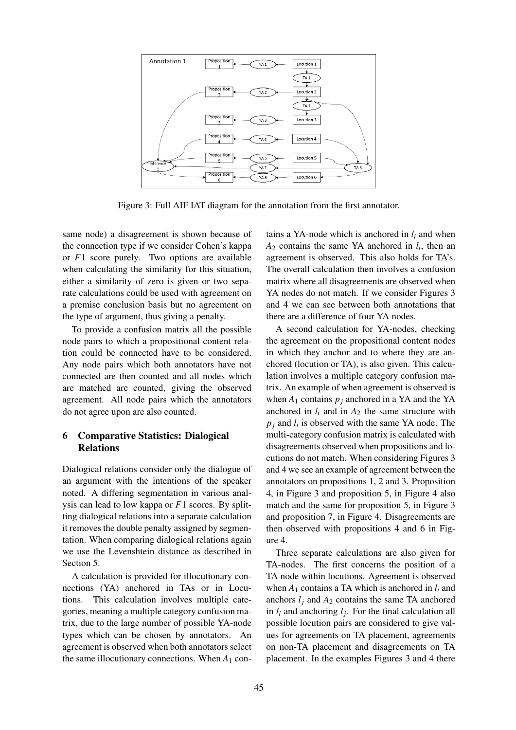

Figure 3: Full AIF IAT diagram for the annotation from the first annotator.

same node) a disagreement is shown because of the connection type if we consider Cohen's kappa or *F*1 score purely. Two options are available when calculating the similarity for this situation, either a similarity of zero is given or two separate calculations could be used with agreement on a premise conclusion basis but no agreement on the type of argument, thus giving a penalty.

To provide a confusion matrix all the possible node pairs to which a propositional content relation could be connected have to be considered. Any node pairs which both annotators have not connected are then counted and all nodes which are matched are counted, giving the observed agreement. All node pairs which the annotators do not agree upon are also counted.

### 6 Comparative Statistics: Dialogical Relations

Dialogical relations consider only the dialogue of an argument with the intentions of the speaker noted. A differing segmentation in various analysis can lead to low kappa or *F*1 scores. By splitting dialogical relations into a separate calculation it removes the double penalty assigned by segmentation. When comparing dialogical relations again we use the Levenshtein distance as described in Section 5.

A calculation is provided for illocutionary connections (YA) anchored in TAs or in Locutions. This calculation involves multiple categories, meaning a multiple category confusion matrix, due to the large number of possible YA-node types which can be chosen by annotators. An agreement is observed when both annotators select the same illocutionary connections. When  $A_1$  contains a YA-node which is anchored in  $l_i$  and when  $A_2$  contains the same YA anchored in  $l_i$ , then an agreement is observed. This also holds for TA's. The overall calculation then involves a confusion matrix where all disagreements are observed when YA nodes do not match. If we consider Figures 3 and 4 we can see between both annotations that there are a difference of four YA nodes.

A second calculation for YA-nodes, checking the agreement on the propositional content nodes in which they anchor and to where they are anchored (locution or TA), is also given. This calculation involves a multiple category confusion matrix. An example of when agreement is observed is when  $A_1$  contains  $p_j$  anchored in a YA and the YA anchored in  $l_i$  and in  $A_2$  the same structure with *p<sup>j</sup>* and *l<sup>i</sup>* is observed with the same YA node. The multi-category confusion matrix is calculated with disagreements observed when propositions and locutions do not match. When considering Figures 3 and 4 we see an example of agreement between the annotators on propositions 1, 2 and 3. Proposition 4, in Figure 3 and proposition 5, in Figure 4 also match and the same for proposition 5, in Figure 3 and proposition 7, in Figure 4. Disagreements are then observed with propositions 4 and 6 in Figure 4.

Three separate calculations are also given for TA-nodes. The first concerns the position of a TA node within locutions. Agreement is observed when  $A_1$  contains a TA which is anchored in  $l_i$  and anchors  $l_j$  and  $A_2$  contains the same TA anchored in  $l_i$  and anchoring  $l_j$ . For the final calculation all possible locution pairs are considered to give values for agreements on TA placement, agreements on non-TA placement and disagreements on TA placement. In the examples Figures 3 and 4 there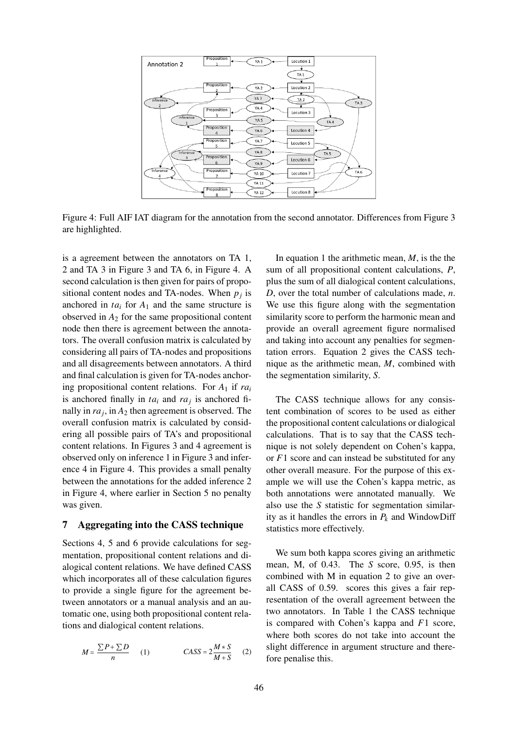

Figure 4: Full AIF IAT diagram for the annotation from the second annotator. Differences from Figure 3 are highlighted.

is a agreement between the annotators on TA 1, 2 and TA 3 in Figure 3 and TA 6, in Figure 4. A second calculation is then given for pairs of propositional content nodes and TA-nodes. When  $p_j$  is anchored in  $ta_i$  for  $A_1$  and the same structure is observed in *A*<sup>2</sup> for the same propositional content node then there is agreement between the annotators. The overall confusion matrix is calculated by considering all pairs of TA-nodes and propositions and all disagreements between annotators. A third and final calculation is given for TA-nodes anchoring propositional content relations. For *A*<sup>1</sup> if *ra<sup>i</sup>* is anchored finally in  $ta_i$  and  $ra_j$  is anchored finally in *ra<sup>j</sup>* , in *A*<sup>2</sup> then agreement is observed. The overall confusion matrix is calculated by considering all possible pairs of TA's and propositional content relations. In Figures 3 and 4 agreement is observed only on inference 1 in Figure 3 and inference 4 in Figure 4. This provides a small penalty between the annotations for the added inference 2 in Figure 4, where earlier in Section 5 no penalty was given.

#### 7 Aggregating into the CASS technique

Sections 4, 5 and 6 provide calculations for segmentation, propositional content relations and dialogical content relations. We have defined CASS which incorporates all of these calculation figures to provide a single figure for the agreement between annotators or a manual analysis and an automatic one, using both propositional content relations and dialogical content relations.

$$
M = \frac{\sum P + \sum D}{n}
$$
 (1) 
$$
CASS = 2\frac{M*S}{M+S}
$$
 (2)

In equation 1 the arithmetic mean, *M*, is the the sum of all propositional content calculations, *P*, plus the sum of all dialogical content calculations, *D*, over the total number of calculations made, *n*. We use this figure along with the segmentation similarity score to perform the harmonic mean and provide an overall agreement figure normalised and taking into account any penalties for segmentation errors. Equation 2 gives the CASS technique as the arithmetic mean, *M*, combined with the segmentation similarity, *S*.

The CASS technique allows for any consistent combination of scores to be used as either the propositional content calculations or dialogical calculations. That is to say that the CASS technique is not solely dependent on Cohen's kappa, or *F*1 score and can instead be substituted for any other overall measure. For the purpose of this example we will use the Cohen's kappa metric, as both annotations were annotated manually. We also use the *S* statistic for segmentation similarity as it handles the errors in  $P_k$  and WindowDiff statistics more effectively.

We sum both kappa scores giving an arithmetic mean, M, of 0.43. The *S* score, 0.95, is then combined with M in equation 2 to give an overall CASS of 0.59. scores this gives a fair representation of the overall agreement between the two annotators. In Table 1 the CASS technique is compared with Cohen's kappa and *F*1 score, where both scores do not take into account the slight difference in argument structure and therefore penalise this.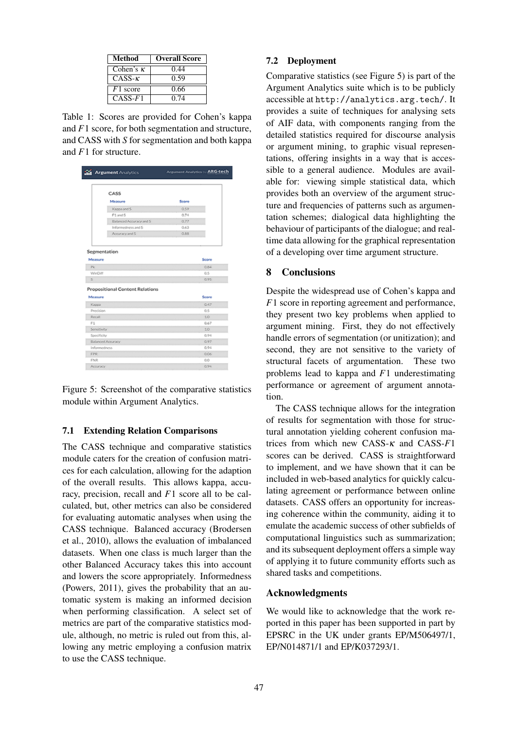| Method           | <b>Overall Score</b> |
|------------------|----------------------|
| Cohen's $\kappa$ | 0.44                 |
| $CASS-\kappa$    | 0.59                 |
| $F1$ score       | 0.66                 |
| $CASS-F1$        | በ 74                 |

Table 1: Scores are provided for Cohen's kappa and *F*1 score, for both segmentation and structure, and CASS with *S* for segmentation and both kappa and *F*1 for structure.

| <b>Argument Analytics</b>                         | Argument Analytics by ARG-tech |         |
|---------------------------------------------------|--------------------------------|---------|
| CASS                                              |                                |         |
| Measure                                           | Score                          |         |
| Kappa and S                                       | 0.59                           |         |
| F1 and S                                          | 0.74                           |         |
| Balanced Accuracy and S                           | 0.77                           |         |
| Informedness and S.                               | 0.63                           |         |
| Accuracy and S                                    | <b>O.BS</b>                    |         |
| Segmentation<br>Measure                           |                                | Score   |
| Pk                                                |                                | $0.8 -$ |
| WinDiff                                           |                                | 0.5     |
| s                                                 |                                | 0.95    |
| <b>Propositional Content Relations</b><br>Measure |                                | Score   |
| Kappa                                             |                                | 0.47    |
| Pencicina                                         |                                | O.S.    |
| Recall                                            |                                | 3.0     |
| F1                                                |                                | 0.67    |
| Sensitivity                                       |                                | 10      |
| Specificity                                       |                                | 0.94    |
| Balanced Accuracy                                 |                                | 0.97    |
|                                                   |                                |         |
|                                                   |                                | 0.04    |
| Informedness<br>FPR                               |                                | 0.06    |
| FNR                                               |                                | 0.O     |

Figure 5: Screenshot of the comparative statistics module within Argument Analytics.

# 7.1 Extending Relation Comparisons

The CASS technique and comparative statistics module caters for the creation of confusion matrices for each calculation, allowing for the adaption of the overall results. This allows kappa, accuracy, precision, recall and *F*1 score all to be calculated, but, other metrics can also be considered for evaluating automatic analyses when using the CASS technique. Balanced accuracy (Brodersen et al., 2010), allows the evaluation of imbalanced datasets. When one class is much larger than the other Balanced Accuracy takes this into account and lowers the score appropriately. Informedness (Powers, 2011), gives the probability that an automatic system is making an informed decision when performing classification. A select set of metrics are part of the comparative statistics module, although, no metric is ruled out from this, allowing any metric employing a confusion matrix to use the CASS technique.

# 7.2 Deployment

Comparative statistics (see Figure 5) is part of the Argument Analytics suite which is to be publicly accessible at http://analytics.arg.tech/. It provides a suite of techniques for analysing sets of AIF data, with components ranging from the detailed statistics required for discourse analysis or argument mining, to graphic visual representations, offering insights in a way that is accessible to a general audience. Modules are available for: viewing simple statistical data, which provides both an overview of the argument structure and frequencies of patterns such as argumentation schemes; dialogical data highlighting the behaviour of participants of the dialogue; and realtime data allowing for the graphical representation of a developing over time argument structure.

# 8 Conclusions

Despite the widespread use of Cohen's kappa and *F*1 score in reporting agreement and performance, they present two key problems when applied to argument mining. First, they do not effectively handle errors of segmentation (or unitization); and second, they are not sensitive to the variety of structural facets of argumentation. These two problems lead to kappa and *F*1 underestimating performance or agreement of argument annotation.

The CASS technique allows for the integration of results for segmentation with those for structural annotation yielding coherent confusion matrices from which new CASS-κ and CASS-*F*1 scores can be derived. CASS is straightforward to implement, and we have shown that it can be included in web-based analytics for quickly calculating agreement or performance between online datasets. CASS offers an opportunity for increasing coherence within the community, aiding it to emulate the academic success of other subfields of computational linguistics such as summarization; and its subsequent deployment offers a simple way of applying it to future community efforts such as shared tasks and competitions.

# Acknowledgments

We would like to acknowledge that the work reported in this paper has been supported in part by EPSRC in the UK under grants EP/M506497/1, EP/N014871/1 and EP/K037293/1.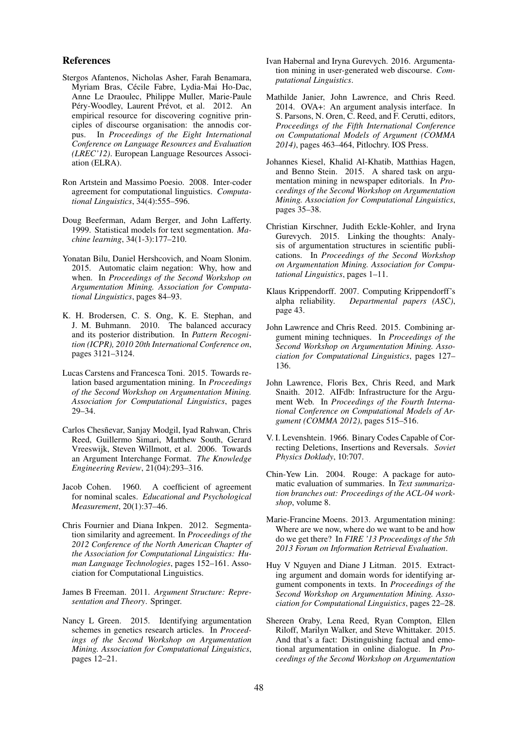#### References

- Stergos Afantenos, Nicholas Asher, Farah Benamara, Myriam Bras, Cécile Fabre, Lydia-Mai Ho-Dac, Anne Le Draoulec, Philippe Muller, Marie-Paule Péry-Woodley, Laurent Prévot, et al. 2012. An empirical resource for discovering cognitive principles of discourse organisation: the annodis corpus. In *Proceedings of the Eight International Conference on Language Resources and Evaluation (LREC'12)*. European Language Resources Association (ELRA).
- Ron Artstein and Massimo Poesio. 2008. Inter-coder agreement for computational linguistics. *Computational Linguistics*, 34(4):555–596.
- Doug Beeferman, Adam Berger, and John Lafferty. 1999. Statistical models for text segmentation. *Machine learning*, 34(1-3):177–210.
- Yonatan Bilu, Daniel Hershcovich, and Noam Slonim. 2015. Automatic claim negation: Why, how and when. In *Proceedings of the Second Workshop on Argumentation Mining. Association for Computational Linguistics*, pages 84–93.
- K. H. Brodersen, C. S. Ong, K. E. Stephan, and J. M. Buhmann. 2010. The balanced accuracy and its posterior distribution. In *Pattern Recognition (ICPR), 2010 20th International Conference on*, pages 3121–3124.
- Lucas Carstens and Francesca Toni. 2015. Towards relation based argumentation mining. In *Proceedings of the Second Workshop on Argumentation Mining. Association for Computational Linguistics*, pages 29–34.
- Carlos Chesñevar, Sanjay Modgil, Iyad Rahwan, Chris Reed, Guillermo Simari, Matthew South, Gerard Vreeswijk, Steven Willmott, et al. 2006. Towards an Argument Interchange Format. *The Knowledge Engineering Review*, 21(04):293–316.
- Jacob Cohen. 1960. A coefficient of agreement for nominal scales. *Educational and Psychological Measurement*, 20(1):37–46.
- Chris Fournier and Diana Inkpen. 2012. Segmentation similarity and agreement. In *Proceedings of the 2012 Conference of the North American Chapter of the Association for Computational Linguistics: Human Language Technologies*, pages 152–161. Association for Computational Linguistics.
- James B Freeman. 2011. *Argument Structure: Representation and Theory*. Springer.
- Nancy L Green. 2015. Identifying argumentation schemes in genetics research articles. In *Proceedings of the Second Workshop on Argumentation Mining. Association for Computational Linguistics*, pages 12–21.
- Ivan Habernal and Iryna Gurevych. 2016. Argumentation mining in user-generated web discourse. *Computational Linguistics*.
- Mathilde Janier, John Lawrence, and Chris Reed. 2014. OVA+: An argument analysis interface. In S. Parsons, N. Oren, C. Reed, and F. Cerutti, editors, *Proceedings of the Fifth International Conference on Computational Models of Argument (COMMA 2014)*, pages 463–464, Pitlochry. IOS Press.
- Johannes Kiesel, Khalid Al-Khatib, Matthias Hagen, and Benno Stein. 2015. A shared task on argumentation mining in newspaper editorials. In *Proceedings of the Second Workshop on Argumentation Mining. Association for Computational Linguistics*, pages 35–38.
- Christian Kirschner, Judith Eckle-Kohler, and Iryna Gurevych. 2015. Linking the thoughts: Analysis of argumentation structures in scientific publications. In *Proceedings of the Second Workshop on Argumentation Mining. Association for Computational Linguistics*, pages 1–11.
- Klaus Krippendorff. 2007. Computing Krippendorff's alpha reliability. *Departmental papers (ASC)*, page 43.
- John Lawrence and Chris Reed. 2015. Combining argument mining techniques. In *Proceedings of the Second Workshop on Argumentation Mining. Association for Computational Linguistics*, pages 127– 136.
- John Lawrence, Floris Bex, Chris Reed, and Mark Snaith. 2012. AIFdb: Infrastructure for the Argument Web. In *Proceedings of the Fourth International Conference on Computational Models of Argument (COMMA 2012)*, pages 515–516.
- V. I. Levenshtein. 1966. Binary Codes Capable of Correcting Deletions, Insertions and Reversals. *Soviet Physics Doklady*, 10:707.
- Chin-Yew Lin. 2004. Rouge: A package for automatic evaluation of summaries. In *Text summarization branches out: Proceedings of the ACL-04 workshop*, volume 8.
- Marie-Francine Moens. 2013. Argumentation mining: Where are we now, where do we want to be and how do we get there? In *FIRE '13 Proceedings of the 5th 2013 Forum on Information Retrieval Evaluation*.
- Huy V Nguyen and Diane J Litman. 2015. Extracting argument and domain words for identifying argument components in texts. In *Proceedings of the Second Workshop on Argumentation Mining. Association for Computational Linguistics*, pages 22–28.
- Shereen Oraby, Lena Reed, Ryan Compton, Ellen Riloff, Marilyn Walker, and Steve Whittaker. 2015. And that's a fact: Distinguishing factual and emotional argumentation in online dialogue. In *Proceedings of the Second Workshop on Argumentation*